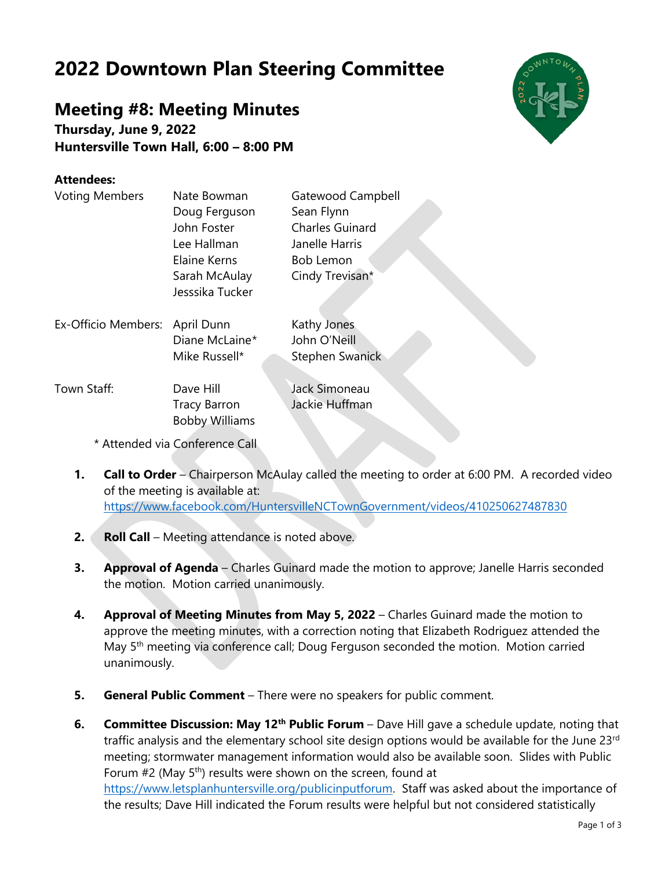## **2022 Downtown Plan Steering Committee**

## **Meeting #8: Meeting Minutes**

**Thursday, June 9, 2022 Huntersville Town Hall, 6:00 – 8:00 PM**

## **Attendees:**

| <b>Voting Members</b>          | Nate Bowman                                  | Gatewood Campbell      |
|--------------------------------|----------------------------------------------|------------------------|
|                                | Doug Ferguson                                | Sean Flynn             |
|                                | John Foster                                  | <b>Charles Guinard</b> |
|                                | Lee Hallman                                  | Janelle Harris         |
|                                | Elaine Kerns                                 | <b>Bob Lemon</b>       |
|                                | Sarah McAulay<br>Jesssika Tucker             | Cindy Trevisan*        |
| Ex-Officio Members:            | April Dunn                                   | Kathy Jones            |
|                                | Diane McLaine*                               | John O'Neill           |
|                                | Mike Russell*                                | <b>Stephen Swanick</b> |
| Town Staff:                    | Dave Hill                                    | Jack Simoneau          |
|                                | <b>Tracy Barron</b><br><b>Bobby Williams</b> | Jackie Huffman         |
|                                |                                              |                        |
| * Attended via Conference Call |                                              |                        |

- **1. Call to Order** Chairperson McAulay called the meeting to order at 6:00 PM. A recorded video of the meeting is available at: <https://www.facebook.com/HuntersvilleNCTownGovernment/videos/410250627487830>
- **2. Roll Call** Meeting attendance is noted above.
- **3. Approval of Agenda** Charles Guinard made the motion to approve; Janelle Harris seconded the motion. Motion carried unanimously.
- **4. Approval of Meeting Minutes from May 5, 2022** Charles Guinard made the motion to approve the meeting minutes, with a correction noting that Elizabeth Rodriguez attended the May 5<sup>th</sup> meeting via conference call; Doug Ferguson seconded the motion. Motion carried unanimously.
- **5. General Public Comment** There were no speakers for public comment.
- **6. Committee Discussion: May 12th Public Forum** Dave Hill gave a schedule update, noting that traffic analysis and the elementary school site design options would be available for the June 23rd meeting; stormwater management information would also be available soon. Slides with Public Forum  $#2$  (May  $5<sup>th</sup>$ ) results were shown on the screen, found at [https://www.letsplanhuntersville.org/publicinputforum.](https://www.letsplanhuntersville.org/publicinputforum) Staff was asked about the importance of the results; Dave Hill indicated the Forum results were helpful but not considered statistically

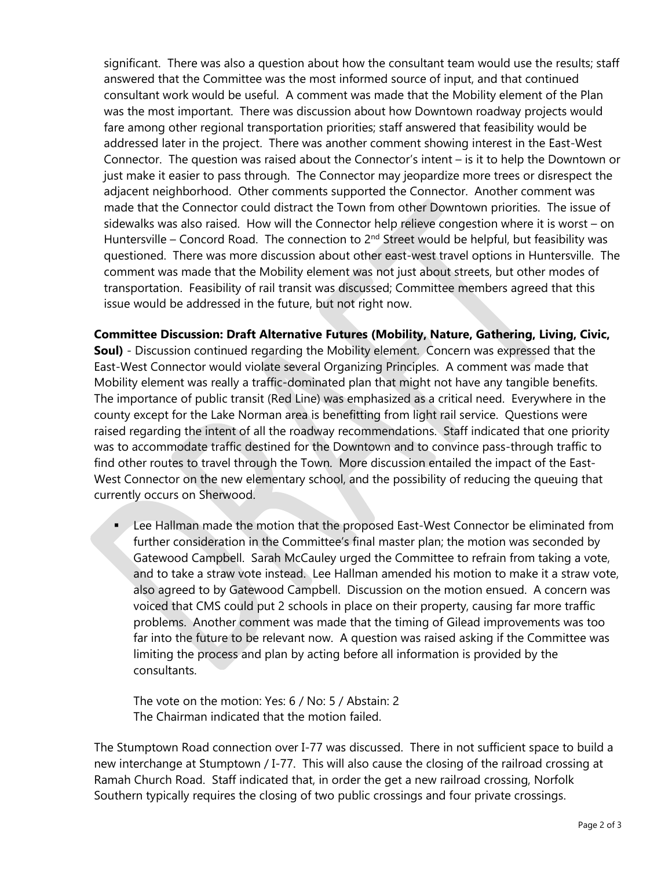significant. There was also a question about how the consultant team would use the results; staff answered that the Committee was the most informed source of input, and that continued consultant work would be useful. A comment was made that the Mobility element of the Plan was the most important. There was discussion about how Downtown roadway projects would fare among other regional transportation priorities; staff answered that feasibility would be addressed later in the project. There was another comment showing interest in the East-West Connector. The question was raised about the Connector's intent – is it to help the Downtown or just make it easier to pass through. The Connector may jeopardize more trees or disrespect the adjacent neighborhood. Other comments supported the Connector. Another comment was made that the Connector could distract the Town from other Downtown priorities. The issue of sidewalks was also raised. How will the Connector help relieve congestion where it is worst – on Huntersville – Concord Road. The connection to  $2^{nd}$  Street would be helpful, but feasibility was questioned. There was more discussion about other east-west travel options in Huntersville. The comment was made that the Mobility element was not just about streets, but other modes of transportation. Feasibility of rail transit was discussed; Committee members agreed that this issue would be addressed in the future, but not right now.

**Committee Discussion: Draft Alternative Futures (Mobility, Nature, Gathering, Living, Civic, Soul)** - Discussion continued regarding the Mobility element. Concern was expressed that the East-West Connector would violate several Organizing Principles. A comment was made that Mobility element was really a traffic-dominated plan that might not have any tangible benefits. The importance of public transit (Red Line) was emphasized as a critical need. Everywhere in the county except for the Lake Norman area is benefitting from light rail service. Questions were raised regarding the intent of all the roadway recommendations. Staff indicated that one priority was to accommodate traffic destined for the Downtown and to convince pass-through traffic to find other routes to travel through the Town. More discussion entailed the impact of the East-West Connector on the new elementary school, and the possibility of reducing the queuing that currently occurs on Sherwood.

■ Lee Hallman made the motion that the proposed East-West Connector be eliminated from further consideration in the Committee's final master plan; the motion was seconded by Gatewood Campbell. Sarah McCauley urged the Committee to refrain from taking a vote, and to take a straw vote instead. Lee Hallman amended his motion to make it a straw vote, also agreed to by Gatewood Campbell. Discussion on the motion ensued. A concern was voiced that CMS could put 2 schools in place on their property, causing far more traffic problems. Another comment was made that the timing of Gilead improvements was too far into the future to be relevant now. A question was raised asking if the Committee was limiting the process and plan by acting before all information is provided by the consultants.

The vote on the motion: Yes: 6 / No: 5 / Abstain: 2 The Chairman indicated that the motion failed.

The Stumptown Road connection over I-77 was discussed. There in not sufficient space to build a new interchange at Stumptown / I-77. This will also cause the closing of the railroad crossing at Ramah Church Road. Staff indicated that, in order the get a new railroad crossing, Norfolk Southern typically requires the closing of two public crossings and four private crossings.